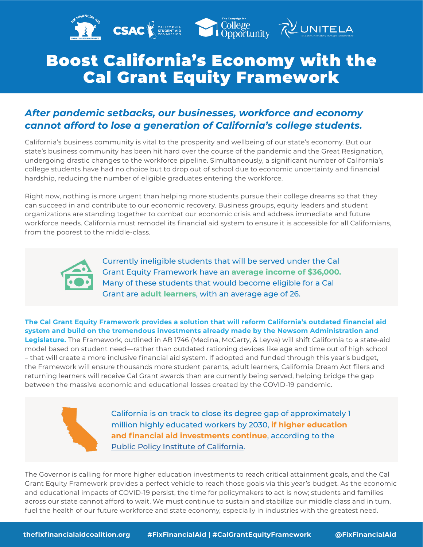

## Boost California's Economy with the Cal Grant Equity Framework

## *After pandemic setbacks, our businesses, workforce and economy cannot afford to lose a generation of California's college students.*

California's business community is vital to the prosperity and wellbeing of our state's economy. But our state's business community has been hit hard over the course of the pandemic and the Great Resignation, undergoing drastic changes to the workforce pipeline. Simultaneously, a significant number of California's college students have had no choice but to drop out of school due to economic uncertainty and financial hardship, reducing the number of eligible graduates entering the workforce.

Right now, nothing is more urgent than helping more students pursue their college dreams so that they can succeed in and contribute to our economic recovery. Business groups, equity leaders and student organizations are standing together to combat our economic crisis and address immediate and future workforce needs. California must remodel its financial aid system to ensure it is accessible for all Californians, from the poorest to the middle-class.



Currently ineligible students that will be served under the Cal Grant Equity Framework have an **average income of \$36,000.**  Many of these students that would become eligible for a Cal Grant are **adult learners**, with an average age of 26.

**The Cal Grant Equity Framework provides a solution that will reform California's outdated financial aid system and build on the tremendous investments already made by the Newsom Administration and Legislature.** The Framework, outlined in AB 1746 (Medina, McCarty, & Leyva) will shift California to a state-aid model based on student need—rather than outdated rationing devices like age and time out of high school – that will create a more inclusive financial aid system. If adopted and funded through this year's budget, the Framework will ensure thousands more student parents, adult learners, California Dream Act filers and returning learners will receive Cal Grant awards than are currently being served, helping bridge the gap between the massive economic and educational losses created by the COVID-19 pandemic.



California is on track to close its degree gap of approximately 1 million highly educated workers by 2030, **if higher education and financial aid investments continue**, according to the [Public Policy Institute of California.](https://www.ppic.org/blog/california-remains-on-track-to-close-the-degree-gap/)

The Governor is calling for more higher education investments to reach critical attainment goals, and the Cal Grant Equity Framework provides a perfect vehicle to reach those goals via this year's budget. As the economic and educational impacts of COVID-19 persist, the time for policymakers to act is now; students and families across our state cannot afford to wait. We must continue to sustain and stabilize our middle class and in turn, fuel the health of our future workforce and state economy, especially in industries with the greatest need.